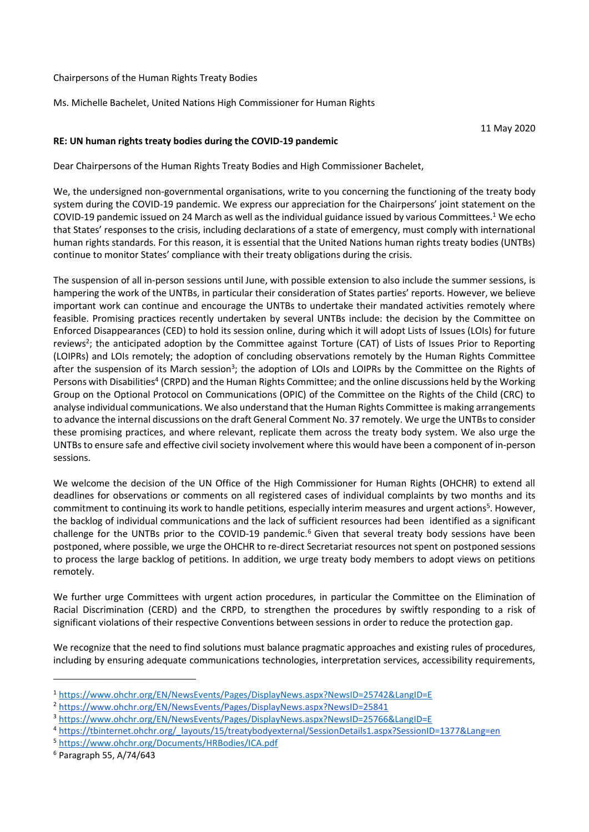## Chairpersons of the Human Rights Treaty Bodies

Ms. Michelle Bachelet, United Nations High Commissioner for Human Rights

11 May 2020

## **RE: UN human rights treaty bodies during the COVID-19 pandemic**

Dear Chairpersons of the Human Rights Treaty Bodies and High Commissioner Bachelet,

We, the undersigned non-governmental organisations, write to you concerning the functioning of the treaty body system during the COVID-19 pandemic. We express our appreciation for the Chairpersons' joint statement on the COVID-19 pandemic issued on 24 March as well as the individual guidance issued by various Committees.<sup>1</sup> We echo that States' responses to the crisis, including declarations of a state of emergency, must comply with international human rights standards. For this reason, it is essential that the United Nations human rights treaty bodies (UNTBs) continue to monitor States' compliance with their treaty obligations during the crisis.

The suspension of all in-person sessions until June, with possible extension to also include the summer sessions, is hampering the work of the UNTBs, in particular their consideration of States parties' reports. However, we believe important work can continue and encourage the UNTBs to undertake their mandated activities remotely where feasible. Promising practices recently undertaken by several UNTBs include: the decision by the Committee on Enforced Disappearances (CED) to hold its session online, during which it will adopt Lists of Issues (LOIs) for future reviews<sup>2</sup>; the anticipated adoption by the Committee against Torture (CAT) of Lists of Issues Prior to Reporting (LOIPRs) and LOIs remotely; the adoption of concluding observations remotely by the Human Rights Committee after the suspension of its March session<sup>3</sup>; the adoption of LOIs and LOIPRs by the Committee on the Rights of Persons with Disabilities<sup>4</sup> (CRPD) and the Human Rights Committee; and the online discussions held by the Working Group on the Optional Protocol on Communications (OPIC) of the Committee on the Rights of the Child (CRC) to analyse individual communications. We also understand that the Human Rights Committee is making arrangements to advance the internal discussions on the draft General Comment No. 37 remotely. We urge the UNTBs to consider these promising practices, and where relevant, replicate them across the treaty body system. We also urge the UNTBs to ensure safe and effective civil society involvement where this would have been a component of in-person sessions.

We welcome the decision of the UN Office of the High Commissioner for Human Rights (OHCHR) to extend all deadlines for observations or comments on all registered cases of individual complaints by two months and its commitment to continuing its work to handle petitions, especially interim measures and urgent actions<sup>5</sup>. However, the backlog of individual communications and the lack of sufficient resources had been identified as a significant challenge for the UNTBs prior to the COVID-19 pandemic.<sup>6</sup> Given that several treaty body sessions have been postponed, where possible, we urge the OHCHR to re-direct Secretariat resources not spent on postponed sessions to process the large backlog of petitions. In addition, we urge treaty body members to adopt views on petitions remotely.

We further urge Committees with urgent action procedures, in particular the Committee on the Elimination of Racial Discrimination (CERD) and the CRPD, to strengthen the procedures by swiftly responding to a risk of significant violations of their respective Conventions between sessions in order to reduce the protection gap.

We recognize that the need to find solutions must balance pragmatic approaches and existing rules of procedures, including by ensuring adequate communications technologies, interpretation services, accessibility requirements,

<sup>1</sup> <https://www.ohchr.org/EN/NewsEvents/Pages/DisplayNews.aspx?NewsID=25742&LangID=E>

<sup>2</sup> <https://www.ohchr.org/EN/NewsEvents/Pages/DisplayNews.aspx?NewsID=25841>

<sup>3</sup> <https://www.ohchr.org/EN/NewsEvents/Pages/DisplayNews.aspx?NewsID=25766&LangID=E>

<sup>4</sup> [https://tbinternet.ohchr.org/\\_layouts/15/treatybodyexternal/SessionDetails1.aspx?SessionID=1377&Lang=en](https://tbinternet.ohchr.org/_layouts/15/treatybodyexternal/SessionDetails1.aspx?SessionID=1377&Lang=en)

<sup>5</sup> <https://www.ohchr.org/Documents/HRBodies/ICA.pdf>

<sup>6</sup> Paragraph 55, A/74/643